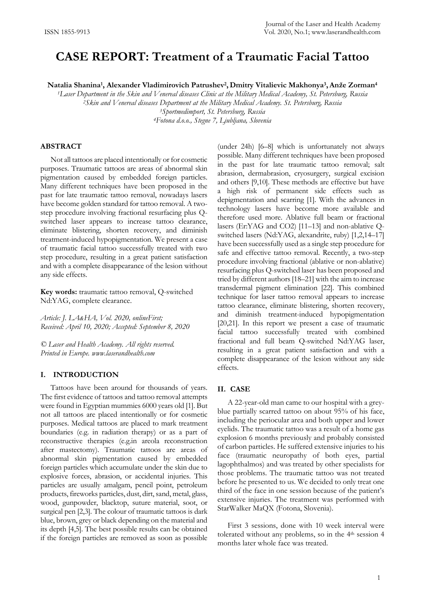# **CASE REPORT: Treatment of a Traumatic Facial Tattoo**

**Natalia Shanina1, Alexander Vladimirovich Patrushev2, Dmitry Vitalievic Makhonya3,Anže Zorman<sup>4</sup>**

*1Laser Department in the Skin and Venereal diseases Clinic at the Military Medical Academy, St. Petersburg, Russia 2Skin and Venereal diseases Department at the Military Medical Academy. St. Petersburg, Russia 3Sportmedimport, St. Petersburg, Russia*

*4Fotona d.o.o., Stegne 7, Ljubljana, Slovenia*

### **ABSTRACT**

Not all tattoos are placed intentionally or for cosmetic purposes. Traumatic tattoos are areas of abnormal skin pigmentation caused by embedded foreign particles. Many different techniques have been proposed in the past for late traumatic tattoo removal, nowadays lasers have become golden standard for tattoo removal. A twostep procedure involving fractional resurfacing plus Qswitched laser appears to increase tattoo clearance, eliminate blistering, shorten recovery, and diminish treatment-induced hypopigmentation. We present a case of traumatic facial tattoo successfully treated with two step procedure, resulting in a great patient satisfaction and with a complete disappearance of the lesion without any side effects.

**Key words:** traumatic tattoo removal, Q-switched Nd:YAG, complete clearance.

*Article: J. LA&HA, Vol. 2020, onlineFirst; Received: April 10, 2020; Accepted: September 8, 2020*

*© Laser and Health Academy. All rights reserved. Printed in Europe. www.laserandhealth.com*

#### **I. INTRODUCTION**

Tattoos have been around for thousands of years. The first evidence of tattoos and tattoo removal attempts were found in Egyptian mummies 6000 years old [1]. But not all tattoos are placed intentionally or for cosmetic purposes. Medical tattoos are placed to mark treatment boundaries (e.g. in radiation therapy) or as a part of reconstructive therapies (e.g.in areola reconstruction after mastectomy). Traumatic tattoos are areas of abnormal skin pigmentation caused by embedded foreign particles which accumulate under the skin due to explosive forces, abrasion, or accidental injuries. This particles are usually amalgam, pencil point, petroleum products, fireworks particles, dust, dirt, sand, metal, glass, wood, gunpowder, blacktop, suture material, soot, or surgical pen [2,3]. The colour of traumatic tattoos is dark blue, brown, grey or black depending on the material and its depth [4,5]. The best possible results can be obtained if the foreign particles are removed as soon as possible

(under 24h) [6–8] which is unfortunately not always possible. Many different techniques have been proposed in the past for late traumatic tattoo removal; salt abrasion, dermabrasion, cryosurgery, surgical excision and others [9,10]. These methods are effective but have a high risk of permanent side effects such as depigmentation and scarring [1]. With the advances in technology lasers have become more available and therefore used more. Ablative full beam or fractional lasers (Er:YAG and CO2) [11–13] and non-ablative Qswitched lasers (Nd:YAG, alexandrite, ruby) [1,2,14–17] have been successfully used as a single step procedure for safe and effective tattoo removal. Recently, a two-step procedure involving fractional (ablative or non-ablative) resurfacing plus Q-switched laser has been proposed and tried by different authors [18–21] with the aim to increase transdermal pigment elimination [22]. This combined technique for laser tattoo removal appears to increase tattoo clearance, eliminate blistering, shorten recovery, and diminish treatment-induced hypopigmentation [20,21]. In this report we present a case of traumatic facial tattoo successfully treated with combined fractional and full beam Q-switched Nd:YAG laser, resulting in a great patient satisfaction and with a complete disappearance of the lesion without any side effects.

#### **II. CASE**

A 22-year-old man came to our hospital with a greyblue partially scarred tattoo on about 95% of his face, including the periocular area and both upper and lower eyelids. The traumatic tattoo was a result of a home gas explosion 6 months previously and probably consisted of carbon particles. He suffered extensive injuries to his face (traumatic neuropathy of both eyes, partial lagophthalmos) and was treated by other specialists for those problems. The traumatic tattoo was not treated before he presented to us. We decided to only treat one third of the face in one session because of the patient's extensive injuries. The treatment was performed with StarWalker MaQX (Fotona, Slovenia).

First 3 sessions, done with 10 week interval were tolerated without any problems, so in the 4<sup>th</sup> session 4 months later whole face was treated.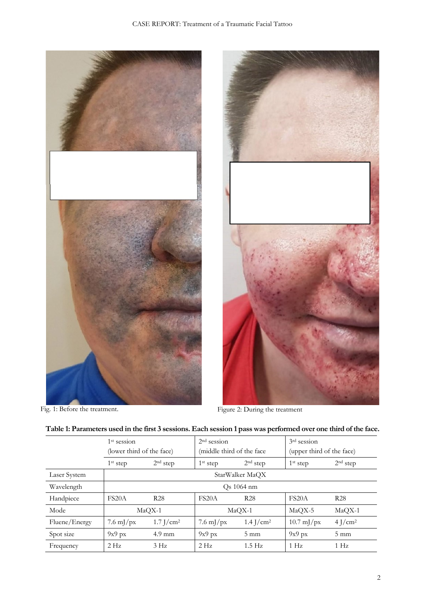





Fig. 1: Before the treatment. Figure 2: During the treatment

|  |  | Table 1: Parameters used in the first 3 sessions. Each session 1 pass was performed over one third of the face |  |  |  |  |  |  |
|--|--|----------------------------------------------------------------------------------------------------------------|--|--|--|--|--|--|
|--|--|----------------------------------------------------------------------------------------------------------------|--|--|--|--|--|--|

|               | 1 <sup>st</sup> session<br>(lower third of the face) |                  | $2nd$ session<br>(middle third of the face) |                | $3rd$ session<br>(upper third of the face) |                       |
|---------------|------------------------------------------------------|------------------|---------------------------------------------|----------------|--------------------------------------------|-----------------------|
|               | $1st$ step                                           | $2nd$ step       | $1st$ step                                  | $2nd$ step     | $1st$ step                                 | $2nd$ step            |
| Laser System  | StarWalker MaQX                                      |                  |                                             |                |                                            |                       |
| Wavelength    | $Qs$ 1064 nm                                         |                  |                                             |                |                                            |                       |
| Handpiece     | FS <sub>20</sub> A                                   | <b>R28</b>       | FS <sub>20</sub> A                          | <b>R28</b>     | FS <sub>20</sub> A                         | <b>R28</b>            |
| Mode          | $MaQX-1$                                             |                  | $MaQX-1$                                    |                | MaQX-5                                     | $MaQX-1$              |
| Fluene/Energy | $7.6 \text{ mJ/px}$                                  | 1.7 $J/cm^2$     | $7.6 \text{ mJ/px}$                         | 1.4 $J/cm^2$   | $10.7 \text{ mJ/px}$                       | $4$ J/cm <sup>2</sup> |
| Spot size     | 9x9px                                                | $4.9 \text{ mm}$ | 9x9px                                       | $5 \text{ mm}$ | 9x9px                                      | $5 \text{ mm}$        |
| Frequency     | 2 Hz                                                 | 3 Hz             | 2 Hz                                        | $1.5$ Hz       | 1 Hz                                       | 1 Hz                  |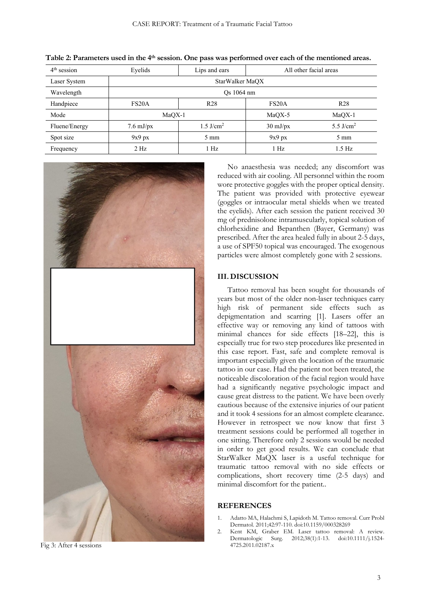| $4th$ session | Eyelids             | Lips and ears           | All other facial areas |                       |  |  |  |
|---------------|---------------------|-------------------------|------------------------|-----------------------|--|--|--|
| Laser System  | StarWalker MaOX     |                         |                        |                       |  |  |  |
| Wavelength    | Os 1064 nm          |                         |                        |                       |  |  |  |
| Handpiece     | FS <sub>20</sub> A  | R <sub>28</sub>         | FS <sub>20</sub> A     | R <sub>28</sub>       |  |  |  |
| Mode          | $MaQX-1$            |                         | $MaQX-5$               | $MaQX-1$              |  |  |  |
| Fluene/Energy | $7.6 \text{ mJ/px}$ | $1.5$ J/cm <sup>2</sup> | $30 \text{ mJ/px}$     | 5.5 J/cm <sup>2</sup> |  |  |  |
| Spot size     | 9x9px               | $5 \text{ mm}$          | 9x9px                  | $5 \text{ mm}$        |  |  |  |
| Frequency     | 2 Hz                | 1 <sub>Hz</sub>         | 1 Hz                   | $1.5$ Hz              |  |  |  |

**Table 2: Parameters used in the 4th session. One pass was performed over each of the mentioned areas.**



Fig 3: After 4 sessions

No anaesthesia was needed; any discomfort was reduced with air cooling. All personnel within the room wore protective goggles with the proper optical density. The patient was provided with protective eyewear (goggles or intraocular metal shields when we treated the eyelids). After each session the patient received 30 mg of prednisolone intramuscularly, topical solution of chlorhexidine and Bepanthen (Bayer, Germany) was prescribed. After the area healed fully in about 2-5 days, a use of SPF50 topical was encouraged. The exogenous particles were almost completely gone with 2 sessions.

## **III. DISCUSSION**

Tattoo removal has been sought for thousands of years but most of the older non-laser techniques carry high risk of permanent side effects such as depigmentation and scarring [1]. Lasers offer an effective way or removing any kind of tattoos with minimal chances for side effects [18–22], this is especially true for two step procedures like presented in this case report. Fast, safe and complete removal is important especially given the location of the traumatic tattoo in our case. Had the patient not been treated, the noticeable discoloration of the facial region would have had a significantly negative psychologic impact and cause great distress to the patient. We have been overly cautious because of the extensive injuries of our patient and it took 4 sessions for an almost complete clearance. However in retrospect we now know that first 3 treatment sessions could be performed all together in one sitting. Therefore only 2 sessions would be needed in order to get good results. We can conclude that StarWalker MaQX laser is a useful technique for traumatic tattoo removal with no side effects or complications, short recovery time (2-5 days) and minimal discomfort for the patient..

## **REFERENCES**

- 1. Adatto MA, Halachmi S, Lapidoth M. Tattoo removal. Curr Probl Dermatol. 2011;42:97-110. doi:10.1159/000328269
- 2. Kent KM, Graber EM. Laser tattoo removal: A review. Dermatologic Surg. 2012;38(1):1-13. doi:10.1111/j.1524- 4725.2011.02187.x